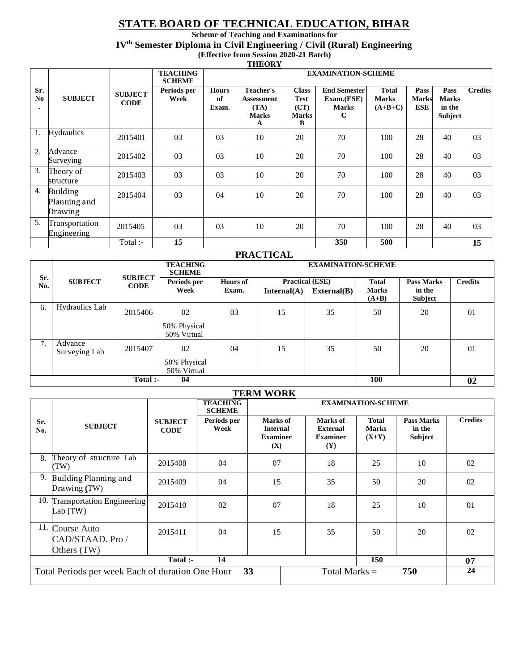# **STATE BOARD OF TECHNICAL EDUCATION, BIHAR**

**Scheme of Teaching and Examinations for IVth Semester Diploma in Civil Engineering / Civil (Rural) Engineering (Effective from Session 2020-21 Batch)** 

**THEORY**

|                                    |                                            |                               | <b>TEACHING</b><br><b>SCHEME</b> |                             |                                                      |                                                          | <b>EXAMINATION-SCHEME</b>                                        |                                    |                                    |                                                  |                |
|------------------------------------|--------------------------------------------|-------------------------------|----------------------------------|-----------------------------|------------------------------------------------------|----------------------------------------------------------|------------------------------------------------------------------|------------------------------------|------------------------------------|--------------------------------------------------|----------------|
| Sr.<br>N <sub>0</sub><br>$\bullet$ | <b>SUBJECT</b>                             | <b>SUBJECT</b><br><b>CODE</b> | Periods per<br>Week              | <b>Hours</b><br>of<br>Exam. | Teacher's<br>Assessment<br>(TA)<br><b>Marks</b><br>А | <b>Class</b><br><b>Test</b><br>(CT)<br><b>Marks</b><br>B | <b>End Semester</b><br>Exam.(ESE)<br><b>Marks</b><br>$\mathbf C$ | Total<br><b>Marks</b><br>$(A+B+C)$ | Pass<br><b>Marks</b><br><b>ESE</b> | Pass<br><b>Marks</b><br>in the<br><b>Subject</b> | <b>Credits</b> |
| 1.                                 | <b>Hydraulics</b>                          | 2015401                       | 03                               | 0 <sub>3</sub>              | 10                                                   | 20                                                       | 70                                                               | 100                                | 28                                 | 40                                               | 03             |
| 2.                                 | Advance<br>Surveying                       | 2015402                       | 03                               | 0 <sub>3</sub>              | 10                                                   | 20                                                       | 70                                                               | 100                                | 28                                 | 40                                               | 03             |
| 3.                                 | Theory of<br>structure                     | 2015403                       | 03                               | 0 <sub>3</sub>              | 10                                                   | 20                                                       | 70                                                               | 100                                | 28                                 | 40                                               | 03             |
| 4.                                 | <b>Building</b><br>Planning and<br>Drawing | 2015404                       | 03                               | 04                          | 10                                                   | 20                                                       | 70                                                               | 100                                | 28                                 | 40                                               | 03             |
| 5.                                 | Transportation<br>Engineering              | 2015405                       | 03                               | 0 <sub>3</sub>              | 10                                                   | 20                                                       | 70                                                               | 100                                | 28                                 | 40                                               | 03             |
|                                    |                                            | Total :-                      | 15                               |                             |                                                      |                                                          | 350                                                              | 500                                |                                    |                                                  | 15             |

#### **PRACTICAL**

|            |                          | <b>SUBJECT</b> |                             | <b>EXAMINATION-SCHEME</b> |                        |             |                         |                          |                |  |  |
|------------|--------------------------|----------------|-----------------------------|---------------------------|------------------------|-------------|-------------------------|--------------------------|----------------|--|--|
| Sr.<br>No. | <b>SUBJECT</b>           | <b>CODE</b>    | Periods per                 | <b>Hours of</b>           | <b>Practical (ESE)</b> |             | <b>Total</b>            | <b>Pass Marks</b>        | <b>Credits</b> |  |  |
|            |                          |                | Week                        | Exam.                     | Internal(A)            | External(B) | <b>Marks</b><br>$(A+B)$ | in the<br><b>Subject</b> |                |  |  |
| 6.         | <b>Hydraulics</b> Lab    | 2015406        | 02                          | 03                        | 15                     | 35          | 50                      | 20                       | 01             |  |  |
|            |                          |                | 50% Physical<br>50% Virtual |                           |                        |             |                         |                          |                |  |  |
| 7.         | Advance<br>Surveying Lab | 2015407        | 02                          | 04                        | 15                     | 35          | 50                      | 20                       | 01             |  |  |
|            |                          |                | 50% Physical<br>50% Virtual |                           |                        |             |                         |                          |                |  |  |
|            |                          | Total :-       | 04                          |                           |                        |             | 100                     |                          | 02             |  |  |

| <b>TERM WORK</b>                                                                 |                                                |                               |                                  |                                                       |                                                              |                                         |                                        |                |  |  |
|----------------------------------------------------------------------------------|------------------------------------------------|-------------------------------|----------------------------------|-------------------------------------------------------|--------------------------------------------------------------|-----------------------------------------|----------------------------------------|----------------|--|--|
|                                                                                  |                                                |                               | <b>TEACHING</b><br><b>SCHEME</b> |                                                       |                                                              | <b>EXAMINATION-SCHEME</b>               |                                        |                |  |  |
| Sr.<br>No.                                                                       | <b>SUBJECT</b>                                 | <b>SUBJECT</b><br><b>CODE</b> | Periods per<br>Week              | Marks of<br><b>Internal</b><br><b>Examiner</b><br>(X) | Marks of<br><b>External</b><br><b>Examiner</b><br><b>(Y)</b> | <b>Total</b><br><b>Marks</b><br>$(X+Y)$ | <b>Pass Marks</b><br>in the<br>Subject | <b>Credits</b> |  |  |
| 8.                                                                               | Theory of structure Lab<br>(TW)                | 2015408                       | 04                               | 07                                                    | 18                                                           | 25                                      | 10                                     | 02             |  |  |
| 9.                                                                               | Building Planning and<br>Drawing (TW)          | 2015409                       | 04                               | 15                                                    | 35                                                           | 50                                      | 20                                     | 02             |  |  |
| 10.                                                                              | <b>Transportation Engineering</b><br>Lab (TW)  | 2015410                       | 02                               | 07                                                    | 18                                                           | 25                                      | 10                                     | $\Omega$       |  |  |
| 11.                                                                              | Course Auto<br>CAD/STAAD. Pro /<br>Others (TW) | 2015411                       | 04                               | 15                                                    | 35                                                           | 50                                      | 20                                     | 02             |  |  |
| 150<br>Total :-<br>14                                                            |                                                |                               |                                  |                                                       |                                                              |                                         |                                        | 07             |  |  |
| 33<br>Total Marks $=$<br>750<br>Total Periods per week Each of duration One Hour |                                                |                               |                                  |                                                       |                                                              |                                         | 24                                     |                |  |  |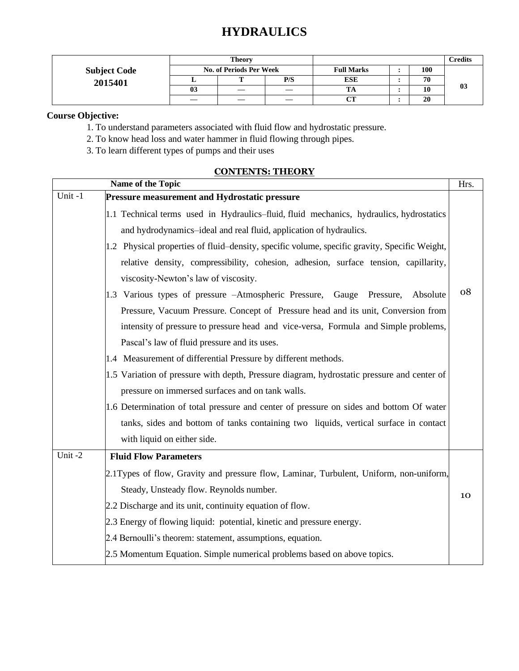|                     |    | <b>Theory</b>                  |     |                   |     | Credits |
|---------------------|----|--------------------------------|-----|-------------------|-----|---------|
| <b>Subject Code</b> |    | <b>No. of Periods Per Week</b> |     | <b>Full Marks</b> | 100 |         |
| 2015401             |    |                                | P/S | <b>ESE</b>        | 70  |         |
|                     | 03 |                                |     |                   | 10  | 03      |
|                     |    |                                |     | CТ                | 20  |         |

## **Course Objective:**

1. To understand parameters associated with fluid flow and hydrostatic pressure.

2. To know head loss and water hammer in fluid flowing through pipes.

3. To learn different types of pumps and their uses

|        | Name of the Topic                                                                             | Hrs. |
|--------|-----------------------------------------------------------------------------------------------|------|
| Unit-1 | <b>Pressure measurement and Hydrostatic pressure</b>                                          |      |
|        | 1.1 Technical terms used in Hydraulics-fluid, fluid mechanics, hydraulics, hydrostatics       |      |
|        | and hydrodynamics-ideal and real fluid, application of hydraulics.                            |      |
|        | 1.2 Physical properties of fluid–density, specific volume, specific gravity, Specific Weight, |      |
|        | relative density, compressibility, cohesion, adhesion, surface tension, capillarity,          |      |
|        | viscosity-Newton's law of viscosity.                                                          |      |
|        | 1.3 Various types of pressure -Atmospheric Pressure, Gauge Pressure,<br>Absolute              | 08   |
|        | Pressure, Vacuum Pressure. Concept of Pressure head and its unit, Conversion from             |      |
|        | intensity of pressure to pressure head and vice-versa, Formula and Simple problems,           |      |
|        | Pascal's law of fluid pressure and its uses.                                                  |      |
|        | 1.4 Measurement of differential Pressure by different methods.                                |      |
|        | 1.5 Variation of pressure with depth, Pressure diagram, hydrostatic pressure and center of    |      |
|        | pressure on immersed surfaces and on tank walls.                                              |      |
|        | 1.6 Determination of total pressure and center of pressure on sides and bottom Of water       |      |
|        | tanks, sides and bottom of tanks containing two liquids, vertical surface in contact          |      |
|        | with liquid on either side.                                                                   |      |
| Unit-2 | <b>Fluid Flow Parameters</b>                                                                  |      |
|        | 2.1Types of flow, Gravity and pressure flow, Laminar, Turbulent, Uniform, non-uniform,        |      |
|        | Steady, Unsteady flow. Reynolds number.                                                       | 10   |
|        | 2.2 Discharge and its unit, continuity equation of flow.                                      |      |
|        | 2.3 Energy of flowing liquid: potential, kinetic and pressure energy.                         |      |
|        | 2.4 Bernoulli's theorem: statement, assumptions, equation.                                    |      |
|        | 2.5 Momentum Equation. Simple numerical problems based on above topics.                       |      |

## **CONTENTS: THEORY**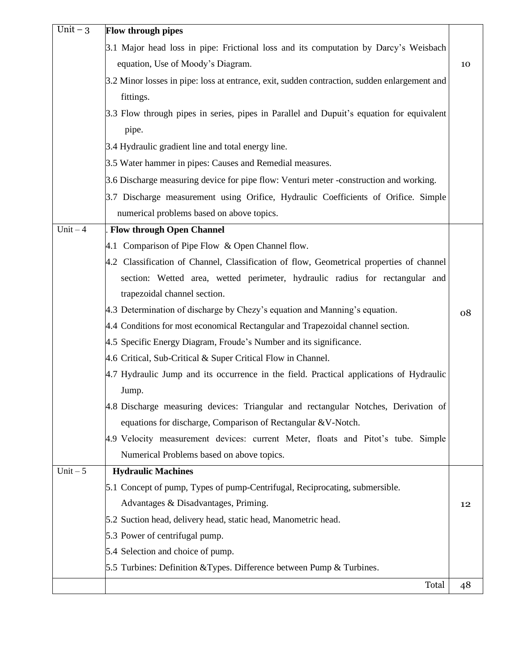| Unit $-3$  | <b>Flow through pipes</b>                                                                    |    |
|------------|----------------------------------------------------------------------------------------------|----|
|            | 3.1 Major head loss in pipe: Frictional loss and its computation by Darcy's Weisbach         |    |
|            | equation, Use of Moody's Diagram.                                                            | 10 |
|            | 3.2 Minor losses in pipe: loss at entrance, exit, sudden contraction, sudden enlargement and |    |
|            | fittings.                                                                                    |    |
|            | 3.3 Flow through pipes in series, pipes in Parallel and Dupuit's equation for equivalent     |    |
|            | pipe.                                                                                        |    |
|            | 3.4 Hydraulic gradient line and total energy line.                                           |    |
|            | 3.5 Water hammer in pipes: Causes and Remedial measures.                                     |    |
|            | 3.6 Discharge measuring device for pipe flow: Venturi meter -construction and working.       |    |
|            | 3.7 Discharge measurement using Orifice, Hydraulic Coefficients of Orifice. Simple           |    |
|            | numerical problems based on above topics.                                                    |    |
| $Unit - 4$ | <b>Flow through Open Channel</b>                                                             |    |
|            | 4.1 Comparison of Pipe Flow & Open Channel flow.                                             |    |
|            | 4.2 Classification of Channel, Classification of flow, Geometrical properties of channel     |    |
|            | section: Wetted area, wetted perimeter, hydraulic radius for rectangular and                 |    |
|            | trapezoidal channel section.                                                                 |    |
|            | 4.3 Determination of discharge by Chezy's equation and Manning's equation.                   | 08 |
|            | 4.4 Conditions for most economical Rectangular and Trapezoidal channel section.              |    |
|            | 4.5 Specific Energy Diagram, Froude's Number and its significance.                           |    |
|            | 4.6 Critical, Sub-Critical & Super Critical Flow in Channel.                                 |    |
|            | 4.7 Hydraulic Jump and its occurrence in the field. Practical applications of Hydraulic      |    |
|            | Jump.                                                                                        |    |
|            | 4.8 Discharge measuring devices: Triangular and rectangular Notches, Derivation of           |    |
|            | equations for discharge, Comparison of Rectangular & V-Notch.                                |    |
|            | 4.9 Velocity measurement devices: current Meter, floats and Pitot's tube. Simple             |    |
|            | Numerical Problems based on above topics.                                                    |    |
| Unit $-5$  | <b>Hydraulic Machines</b>                                                                    |    |
|            | 5.1 Concept of pump, Types of pump-Centrifugal, Reciprocating, submersible.                  |    |
|            | Advantages & Disadvantages, Priming.                                                         | 12 |
|            | 5.2 Suction head, delivery head, static head, Manometric head.                               |    |
|            | 5.3 Power of centrifugal pump.                                                               |    |
|            | 5.4 Selection and choice of pump.                                                            |    |
|            | 5.5 Turbines: Definition & Types. Difference between Pump & Turbines.                        |    |
|            | Total                                                                                        | 48 |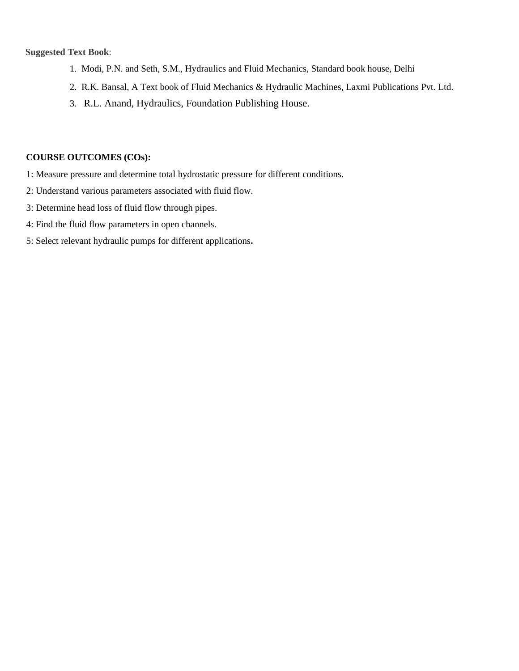#### **Suggested Text Book**:

- 1. Modi, P.N. and Seth, S.M., Hydraulics and Fluid Mechanics, Standard book house, Delhi
- 2. R.K. Bansal, A Text book of Fluid Mechanics & Hydraulic Machines, Laxmi Publications Pvt. Ltd.
- 3. R.L. Anand, Hydraulics, Foundation Publishing House.

- 1: Measure pressure and determine total hydrostatic pressure for different conditions.
- 2: Understand various parameters associated with fluid flow.
- 3: Determine head loss of fluid flow through pipes.
- 4: Find the fluid flow parameters in open channels.
- 5: Select relevant hydraulic pumps for different applications**.**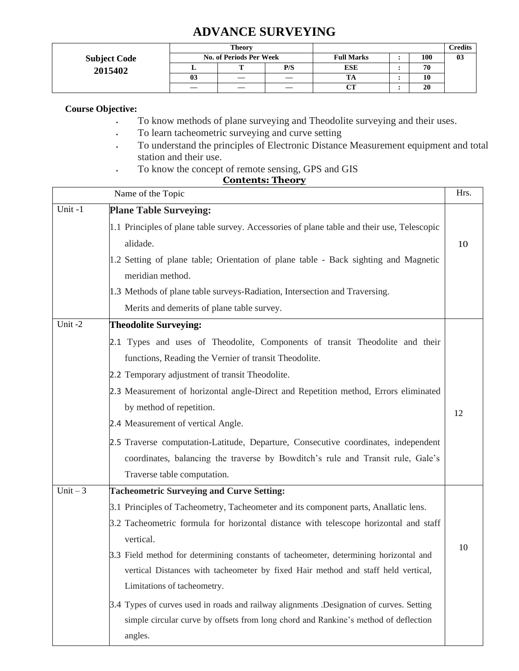# **ADVANCE SURVEYING**

|                     |    | Theory                         |     |                   |     | Credits |
|---------------------|----|--------------------------------|-----|-------------------|-----|---------|
| <b>Subject Code</b> |    | <b>No. of Periods Per Week</b> |     | <b>Full Marks</b> | 100 | 03      |
| 2015402             |    | m                              | P/S | <b>ESE</b>        | 70  |         |
|                     | 03 |                                |     | TA                | 10  |         |
|                     | —  |                                |     | $\alpha$ t<br>UΙ  | 20  |         |

## **Course Objective:**

- To know methods of plane surveying and Theodolite surveying and their uses.
- To learn tacheometric surveying and curve setting
- To understand the principles of Electronic Distance Measurement equipment and total station and their use.
- To know the concept of remote sensing, GPS and GIS

|           | Name of the Topic                                                                          | Hrs. |
|-----------|--------------------------------------------------------------------------------------------|------|
| Unit-1    | <b>Plane Table Surveying:</b>                                                              |      |
|           | 1.1 Principles of plane table survey. Accessories of plane table and their use, Telescopic |      |
|           | alidade.                                                                                   | 10   |
|           | 1.2 Setting of plane table; Orientation of plane table - Back sighting and Magnetic        |      |
|           | meridian method.                                                                           |      |
|           | 1.3 Methods of plane table surveys-Radiation, Intersection and Traversing.                 |      |
|           | Merits and demerits of plane table survey.                                                 |      |
| Unit-2    | <b>Theodolite Surveying:</b>                                                               |      |
|           | 2.1 Types and uses of Theodolite, Components of transit Theodolite and their               |      |
|           | functions, Reading the Vernier of transit Theodolite.                                      |      |
|           | 2.2 Temporary adjustment of transit Theodolite.                                            |      |
|           | 2.3 Measurement of horizontal angle-Direct and Repetition method, Errors eliminated        |      |
|           | by method of repetition.                                                                   | 12   |
|           | 2.4 Measurement of vertical Angle.                                                         |      |
|           | 2.5 Traverse computation-Latitude, Departure, Consecutive coordinates, independent         |      |
|           | coordinates, balancing the traverse by Bowditch's rule and Transit rule, Gale's            |      |
|           | Traverse table computation.                                                                |      |
| Unit $-3$ | <b>Tacheometric Surveying and Curve Setting:</b>                                           |      |
|           | 3.1 Principles of Tacheometry, Tacheometer and its component parts, Anallatic lens.        |      |
|           | 3.2 Tacheometric formula for horizontal distance with telescope horizontal and staff       |      |
|           | vertical.                                                                                  |      |
|           | 3.3 Field method for determining constants of tacheometer, determining horizontal and      | 10   |
|           | vertical Distances with tacheometer by fixed Hair method and staff held vertical,          |      |
|           | Limitations of tacheometry.                                                                |      |
|           | 3.4 Types of curves used in roads and railway alignments .Designation of curves. Setting   |      |
|           | simple circular curve by offsets from long chord and Rankine's method of deflection        |      |
|           | angles.                                                                                    |      |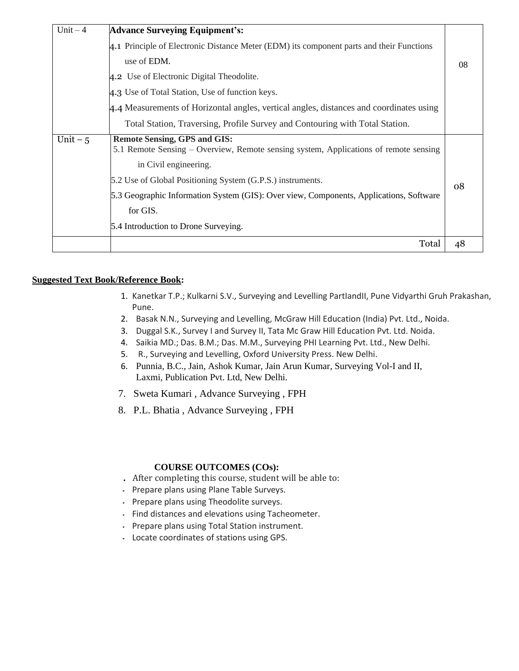| $Unit - 4$ | <b>Advance Surveying Equipment's:</b>                                                                                       |    |
|------------|-----------------------------------------------------------------------------------------------------------------------------|----|
|            | 4.1 Principle of Electronic Distance Meter (EDM) its component parts and their Functions                                    |    |
|            | use of EDM.                                                                                                                 | 08 |
|            | 4.2 Use of Electronic Digital Theodolite.                                                                                   |    |
|            | 4.3 Use of Total Station, Use of function keys.                                                                             |    |
|            | 4.4 Measurements of Horizontal angles, vertical angles, distances and coordinates using                                     |    |
|            | Total Station, Traversing, Profile Survey and Contouring with Total Station.                                                |    |
| Unit $-5$  | <b>Remote Sensing, GPS and GIS:</b><br>5.1 Remote Sensing – Overview, Remote sensing system, Applications of remote sensing |    |
|            | in Civil engineering.                                                                                                       |    |
|            | 5.2 Use of Global Positioning System (G.P.S.) instruments.                                                                  | 08 |
|            | 5.3 Geographic Information System (GIS): Over view, Components, Applications, Software                                      |    |
|            | for GIS.                                                                                                                    |    |
|            | 5.4 Introduction to Drone Surveying.                                                                                        |    |
|            | Total                                                                                                                       | 48 |

## **Suggested Text Book/Reference Book:**

- 1. Kanetkar T.P.; Kulkarni S.V., Surveying and Levelling PartIandII, Pune Vidyarthi Gruh Prakashan, Pune.
- 2. Basak N.N., Surveying and Levelling, McGraw Hill Education (India) Pvt. Ltd., Noida.
- 3. Duggal S.K., Survey I and Survey II, Tata Mc Graw Hill Education Pvt. Ltd. Noida.
- 4. Saikia MD.; Das. B.M.; Das. M.M., Surveying PHI Learning Pvt. Ltd., New Delhi.
- 5. R., Surveying and Levelling, Oxford University Press. New Delhi.
- 6. Punnia, B.C., Jain, Ashok Kumar, Jain Arun Kumar, Surveying Vol-I and II, Laxmi, Publication Pvt. Ltd, New Delhi.
- 7. Sweta Kumari , Advance Surveying , FPH
- 8. P.L. Bhatia , Advance Surveying , FPH

- **.** After completing this course, student will be able to:
- Prepare plans using Plane Table Surveys.
- Prepare plans using Theodolite surveys.
- Find distances and elevations using Tacheometer.
- Prepare plans using Total Station instrument.
- Locate coordinates of stations using GPS.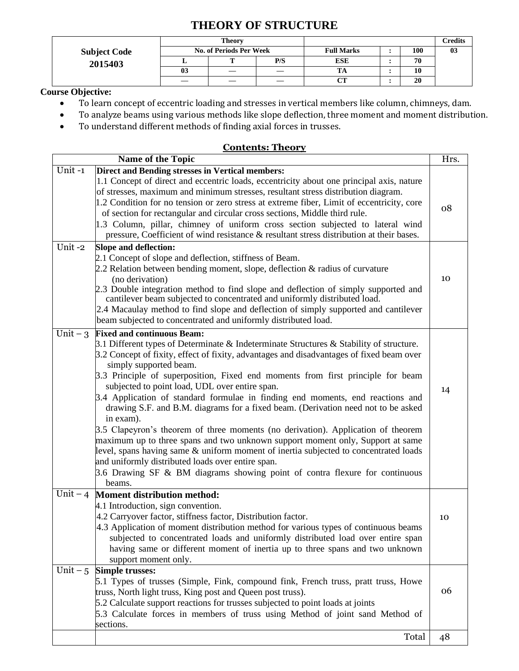# **THEORY OF STRUCTURE**

|                     |    | <b>Theory</b>                  |     |                   |     | Credits |
|---------------------|----|--------------------------------|-----|-------------------|-----|---------|
| <b>Subject Code</b> |    | <b>No. of Periods Per Week</b> |     | <b>Full Marks</b> | 100 | 03      |
| 2015403             |    |                                | P/S | <b>ESE</b>        | 70  |         |
|                     | 03 |                                |     |                   | w   |         |
|                     |    |                                |     | <b>CHET</b>       | 20  |         |

# **Course Objective:**

- To learn concept of eccentric loading and stresses in vertical members like column, chimneys, dam.
- To analyze beams using various methods like slope deflection, three moment and moment distribution.
- To understand different methods of finding axial forces in trusses.

|           | Name of the Topic                                                                          | Hrs. |
|-----------|--------------------------------------------------------------------------------------------|------|
| Unit-1    | Direct and Bending stresses in Vertical members:                                           |      |
|           | 1.1 Concept of direct and eccentric loads, eccentricity about one principal axis, nature   |      |
|           | of stresses, maximum and minimum stresses, resultant stress distribution diagram.          |      |
|           | 1.2 Condition for no tension or zero stress at extreme fiber, Limit of eccentricity, core  | 08   |
|           | of section for rectangular and circular cross sections, Middle third rule.                 |      |
|           | 1.3 Column, pillar, chimney of uniform cross section subjected to lateral wind             |      |
|           | pressure, Coefficient of wind resistance & resultant stress distribution at their bases.   |      |
| Unit-2    | <b>Slope and deflection:</b>                                                               |      |
|           | 2.1 Concept of slope and deflection, stiffness of Beam.                                    |      |
|           | 2.2 Relation between bending moment, slope, deflection $\&$ radius of curvature            |      |
|           | (no derivation)                                                                            | 10   |
|           | 2.3 Double integration method to find slope and deflection of simply supported and         |      |
|           | cantilever beam subjected to concentrated and uniformly distributed load.                  |      |
|           | 2.4 Macaulay method to find slope and deflection of simply supported and cantilever        |      |
|           | beam subjected to concentrated and uniformly distributed load.                             |      |
|           | Unit $-3$ Fixed and continuous Beam:                                                       |      |
|           | 3.1 Different types of Determinate & Indeterminate Structures & Stability of structure.    |      |
|           | 3.2 Concept of fixity, effect of fixity, advantages and disadvantages of fixed beam over   |      |
|           | simply supported beam.                                                                     |      |
|           | 3.3 Principle of superposition, Fixed end moments from first principle for beam            |      |
|           | subjected to point load, UDL over entire span.                                             | 14   |
|           | 3.4 Application of standard formulae in finding end moments, end reactions and             |      |
|           | drawing S.F. and B.M. diagrams for a fixed beam. (Derivation need not to be asked          |      |
|           | in exam).                                                                                  |      |
|           | 3.5 Clapeyron's theorem of three moments (no derivation). Application of theorem           |      |
|           | maximum up to three spans and two unknown support moment only, Support at same             |      |
|           | level, spans having same $\&$ uniform moment of inertia subjected to concentrated loads    |      |
|           | and uniformly distributed loads over entire span.                                          |      |
|           | 3.6 Drawing SF & BM diagrams showing point of contra flexure for continuous                |      |
|           | beams.                                                                                     |      |
| Unit $-4$ | <b>Moment distribution method:</b>                                                         |      |
|           | 4.1 Introduction, sign convention.                                                         |      |
|           | 4.2 Carryover factor, stiffness factor, Distribution factor.                               | 10   |
|           | 4.3 Application of moment distribution method for various types of continuous beams        |      |
|           | subjected to concentrated loads and uniformly distributed load over entire span            |      |
|           | having same or different moment of inertia up to three spans and two unknown               |      |
|           | support moment only.                                                                       |      |
| Unit $-5$ | <b>Simple trusses:</b>                                                                     |      |
|           | 5.1 Types of trusses (Simple, Fink, compound fink, French truss, pratt truss, Howe         | 06   |
|           | truss, North light truss, King post and Queen post truss).                                 |      |
|           | 5.2 Calculate support reactions for trusses subjected to point loads at joints             |      |
|           | 5.3 Calculate forces in members of truss using Method of joint sand Method of<br>sections. |      |
|           |                                                                                            |      |
|           | Total                                                                                      | 48   |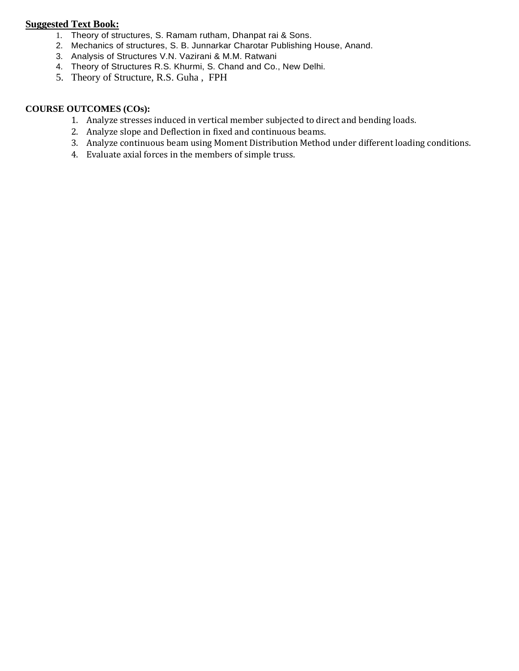## **Suggested Text Book:**

- 1. Theory of structures, S. Ramam rutham, Dhanpat rai & Sons.
- 2. Mechanics of structures, S. B. Junnarkar Charotar Publishing House, Anand.
- 3. Analysis of Structures V.N. Vazirani & M.M. Ratwani
- 4. Theory of Structures R.S. Khurmi, S. Chand and Co., New Delhi.
- 5. Theory of Structure, R.S. Guha , FPH

- 1. Analyze stresses induced in vertical member subjected to direct and bending loads.
- 2. Analyze slope and Deflection in fixed and continuous beams.
- 3. Analyze continuous beam using Moment Distribution Method under different loading conditions.
- 4. Evaluate axial forces in the members of simple truss.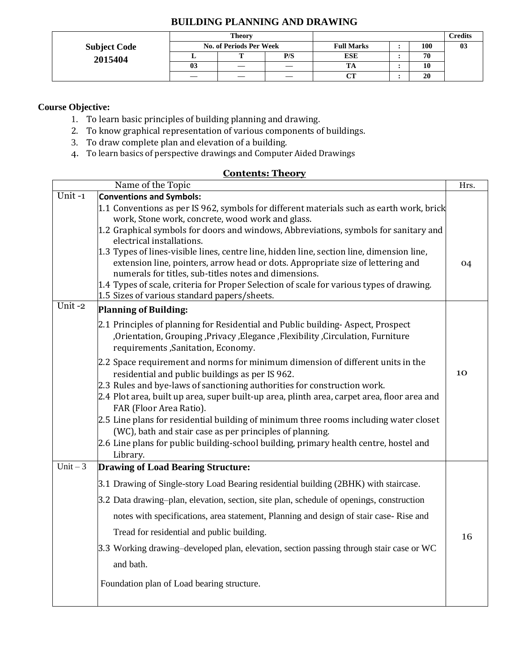|  | <b>BUILDING PLANNING AND DRAWING</b> |  |  |
|--|--------------------------------------|--|--|
|--|--------------------------------------|--|--|

|                     |                         | <b>Theory</b> |     |            |            | <b>Credits</b> |
|---------------------|-------------------------|---------------|-----|------------|------------|----------------|
| <b>Subject Code</b> | No. of Periods Per Week |               |     |            | <b>100</b> | 03             |
| 2015404             |                         | m             | P/S | <b>ESE</b> | 70         |                |
|                     | 03                      | —             |     | TA         | 10         |                |
|                     | --                      | —             |     | CТ         | 20         |                |

## **Course Objective:**

- 1. To learn basic principles of building planning and drawing.
- 2. To know graphical representation of various components of buildings.
- 3. To draw complete plan and elevation of a building.
- 4. To learn basics of perspective drawings and Computer Aided Drawings

|                       | Name of the Topic                                                                                                                        | Hrs. |
|-----------------------|------------------------------------------------------------------------------------------------------------------------------------------|------|
| Unit-1                | <b>Conventions and Symbols:</b>                                                                                                          |      |
|                       | 1.1 Conventions as per IS 962, symbols for different materials such as earth work, brick                                                 |      |
|                       | work, Stone work, concrete, wood work and glass.                                                                                         |      |
|                       | 1.2 Graphical symbols for doors and windows, Abbreviations, symbols for sanitary and                                                     |      |
|                       | electrical installations.                                                                                                                |      |
|                       | 1.3 Types of lines-visible lines, centre line, hidden line, section line, dimension line,                                                |      |
|                       | extension line, pointers, arrow head or dots. Appropriate size of lettering and<br>numerals for titles, sub-titles notes and dimensions. | 04   |
|                       | 1.4 Types of scale, criteria for Proper Selection of scale for various types of drawing.                                                 |      |
|                       | 1.5 Sizes of various standard papers/sheets.                                                                                             |      |
| Unit-2                | <b>Planning of Building:</b>                                                                                                             |      |
|                       | 2.1 Principles of planning for Residential and Public building-Aspect, Prospect                                                          |      |
|                       | , Orientation, Grouping, Privacy, Elegance, Flexibility, Circulation, Furniture                                                          |      |
|                       | requirements , Sanitation, Economy.                                                                                                      |      |
|                       | 2.2 Space requirement and norms for minimum dimension of different units in the                                                          |      |
|                       | residential and public buildings as per IS 962.                                                                                          | 10   |
|                       | 2.3 Rules and bye-laws of sanctioning authorities for construction work.                                                                 |      |
|                       | 2.4 Plot area, built up area, super built-up area, plinth area, carpet area, floor area and                                              |      |
|                       | FAR (Floor Area Ratio).                                                                                                                  |      |
|                       | 2.5 Line plans for residential building of minimum three rooms including water closet                                                    |      |
|                       | (WC), bath and stair case as per principles of planning.                                                                                 |      |
|                       | 2.6 Line plans for public building-school building, primary health centre, hostel and                                                    |      |
|                       | Library.                                                                                                                                 |      |
| $\overline{Unit} - 3$ | <b>Drawing of Load Bearing Structure:</b>                                                                                                |      |
|                       | 3.1 Drawing of Single-story Load Bearing residential building (2BHK) with staircase.                                                     |      |
|                       | 3.2 Data drawing-plan, elevation, section, site plan, schedule of openings, construction                                                 |      |
|                       | notes with specifications, area statement, Planning and design of stair case-Rise and                                                    |      |
|                       | Tread for residential and public building.                                                                                               | 16   |
|                       | 3.3 Working drawing–developed plan, elevation, section passing through stair case or WC                                                  |      |
|                       | and bath.                                                                                                                                |      |
|                       |                                                                                                                                          |      |
|                       | Foundation plan of Load bearing structure.                                                                                               |      |
|                       |                                                                                                                                          |      |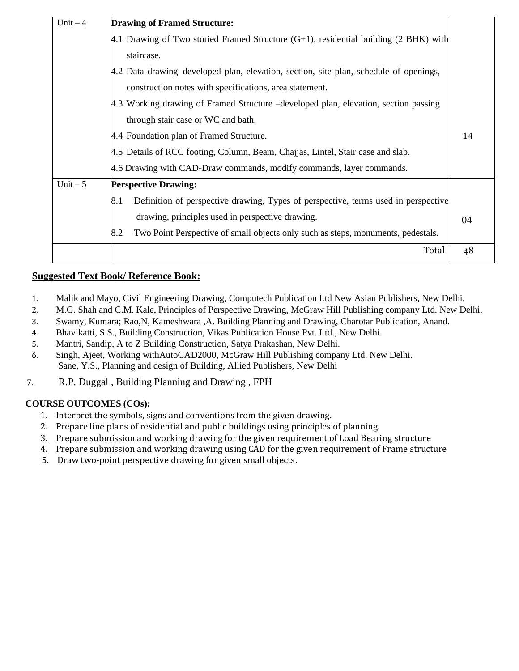| Unit $-4$ | <b>Drawing of Framed Structure:</b>                                                       |    |
|-----------|-------------------------------------------------------------------------------------------|----|
|           | 4.1 Drawing of Two storied Framed Structure $(G+1)$ , residential building (2 BHK) with   |    |
|           | staircase.                                                                                |    |
|           | 4.2 Data drawing–developed plan, elevation, section, site plan, schedule of openings,     |    |
|           | construction notes with specifications, area statement.                                   |    |
|           | 4.3 Working drawing of Framed Structure –developed plan, elevation, section passing       |    |
|           | through stair case or WC and bath.                                                        |    |
|           | 4.4 Foundation plan of Framed Structure.                                                  | 14 |
|           | 4.5 Details of RCC footing, Column, Beam, Chajjas, Lintel, Stair case and slab.           |    |
|           | 4.6 Drawing with CAD-Draw commands, modify commands, layer commands.                      |    |
| Unit $-5$ | <b>Perspective Drawing:</b>                                                               |    |
|           | Definition of perspective drawing, Types of perspective, terms used in perspective<br>8.1 |    |
|           | drawing, principles used in perspective drawing.                                          | 04 |
|           | Two Point Perspective of small objects only such as steps, monuments, pedestals.<br>8.2   |    |
|           | Total                                                                                     | 48 |
|           |                                                                                           |    |

## **Suggested Text Book/ Reference Book:**

- 1. Malik and Mayo, Civil Engineering Drawing, Computech Publication Ltd New Asian Publishers, New Delhi.
- 2. M.G. Shah and C.M. Kale, Principles of Perspective Drawing, McGraw Hill Publishing company Ltd. New Delhi.
- 3. Swamy, Kumara; Rao,N, Kameshwara ,A. Building Planning and Drawing, Charotar Publication, Anand.
- 4. Bhavikatti, S.S., Building Construction, Vikas Publication House Pvt. Ltd., New Delhi.
- 5. Mantri, Sandip, A to Z Building Construction, Satya Prakashan, New Delhi.
- 6. Singh, Ajeet, Working withAutoCAD2000, McGraw Hill Publishing company Ltd. New Delhi. Sane, Y.S., Planning and design of Building, Allied Publishers, New Delhi
- 7. R.P. Duggal , Building Planning and Drawing , FPH

- 1. Interpret the symbols, signs and conventions from the given drawing.
- 2. Prepare line plans of residential and public buildings using principles of planning.
- 3. Prepare submission and working drawing for the given requirement of Load Bearing structure
- 4. Prepare submission and working drawing using CAD for the given requirement of Frame structure
- 5. Draw two-point perspective drawing for given small objects.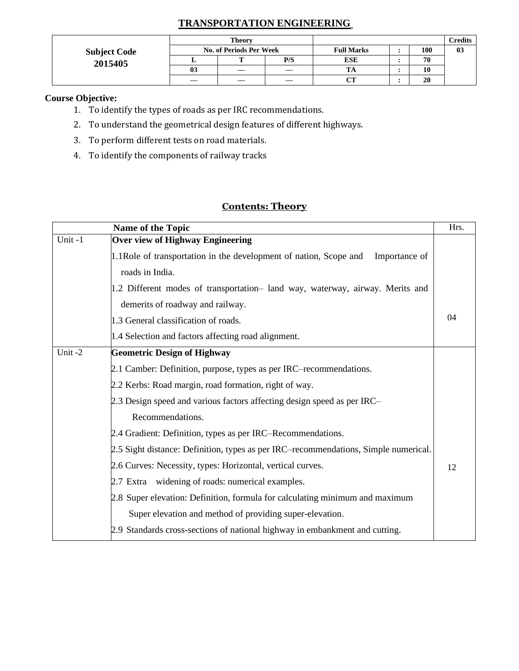# **TRANSPORTATION ENGINEERING**

|                     |                                | <b>Theory</b> |     |                   |  |     | Credits |
|---------------------|--------------------------------|---------------|-----|-------------------|--|-----|---------|
| <b>Subject Code</b> | <b>No. of Periods Per Week</b> |               |     | <b>Full Marks</b> |  | 100 | 03      |
| 2015405             |                                |               | P/S | <b>ESE</b>        |  | 70  |         |
|                     | 03                             | —             | —   | ıА                |  | 10  |         |
|                     |                                |               |     | $\alpha$          |  | 20  |         |

## **Course Objective:**

- 1. To identify the types of roads as per IRC recommendations.
- 2. To understand the geometrical design features of different highways.
- 3. To perform different tests on road materials.
- 4. To identify the components of railway tracks

|        | Name of the Topic                                                                   | Hrs. |
|--------|-------------------------------------------------------------------------------------|------|
| Unit-1 | <b>Over view of Highway Engineering</b>                                             |      |
|        | 1.1 Role of transportation in the development of nation, Scope and<br>Importance of |      |
|        | roads in India.                                                                     |      |
|        | 1.2 Different modes of transportation- land way, waterway, airway. Merits and       |      |
|        | demerits of roadway and railway.                                                    |      |
|        | 1.3 General classification of roads.                                                | 04   |
|        | 1.4 Selection and factors affecting road alignment.                                 |      |
| Unit-2 | <b>Geometric Design of Highway</b>                                                  |      |
|        | 2.1 Camber: Definition, purpose, types as per IRC–recommendations.                  |      |
|        | 2.2 Kerbs: Road margin, road formation, right of way.                               |      |
|        | 2.3 Design speed and various factors affecting design speed as per IRC-             |      |
|        | Recommendations.                                                                    |      |
|        | 2.4 Gradient: Definition, types as per IRC–Recommendations.                         |      |
|        | 2.5 Sight distance: Definition, types as per IRC–recommendations, Simple numerical. |      |
|        | 2.6 Curves: Necessity, types: Horizontal, vertical curves.                          | 12   |
|        | 2.7 Extra widening of roads: numerical examples.                                    |      |
|        | 2.8 Super elevation: Definition, formula for calculating minimum and maximum        |      |
|        | Super elevation and method of providing super-elevation.                            |      |
|        | 2.9 Standards cross-sections of national highway in embankment and cutting.         |      |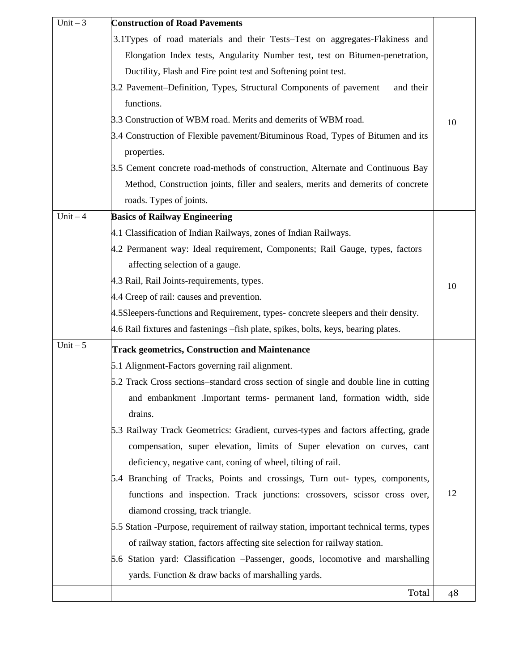| Unit $-3$ | <b>Construction of Road Pavements</b>                                                  |    |
|-----------|----------------------------------------------------------------------------------------|----|
|           | 3.1Types of road materials and their Tests–Test on aggregates-Flakiness and            |    |
|           | Elongation Index tests, Angularity Number test, test on Bitumen-penetration,           |    |
|           | Ductility, Flash and Fire point test and Softening point test.                         |    |
|           | 3.2 Pavement–Definition, Types, Structural Components of pavement<br>and their         |    |
|           | functions.                                                                             |    |
|           | 3.3 Construction of WBM road. Merits and demerits of WBM road.                         | 10 |
|           | 3.4 Construction of Flexible pavement/Bituminous Road, Types of Bitumen and its        |    |
|           | properties.                                                                            |    |
|           | 3.5 Cement concrete road-methods of construction, Alternate and Continuous Bay         |    |
|           | Method, Construction joints, filler and sealers, merits and demerits of concrete       |    |
|           | roads. Types of joints.                                                                |    |
| Unit $-4$ | <b>Basics of Railway Engineering</b>                                                   |    |
|           | 4.1 Classification of Indian Railways, zones of Indian Railways.                       |    |
|           | 4.2 Permanent way: Ideal requirement, Components; Rail Gauge, types, factors           |    |
|           | affecting selection of a gauge.                                                        |    |
|           | 4.3 Rail, Rail Joints-requirements, types.                                             | 10 |
|           | 4.4 Creep of rail: causes and prevention.                                              |    |
|           | 4.5 Sleepers-functions and Requirement, types-concrete sleepers and their density.     |    |
|           | 4.6 Rail fixtures and fastenings – fish plate, spikes, bolts, keys, bearing plates.    |    |
| Unit $-5$ | <b>Track geometrics, Construction and Maintenance</b>                                  |    |
|           | 5.1 Alignment-Factors governing rail alignment.                                        |    |
|           | 5.2 Track Cross sections–standard cross section of single and double line in cutting   |    |
|           | and embankment .Important terms- permanent land, formation width, side                 |    |
|           | drains.                                                                                |    |
|           | 5.3 Railway Track Geometrics: Gradient, curves-types and factors affecting, grade      |    |
|           | compensation, super elevation, limits of Super elevation on curves, cant               |    |
|           | deficiency, negative cant, coning of wheel, tilting of rail.                           |    |
|           | 5.4 Branching of Tracks, Points and crossings, Turn out- types, components,            |    |
|           | functions and inspection. Track junctions: crossovers, scissor cross over,             | 12 |
|           | diamond crossing, track triangle.                                                      |    |
|           | 5.5 Station -Purpose, requirement of railway station, important technical terms, types |    |
|           | of railway station, factors affecting site selection for railway station.              |    |
|           | 5.6 Station yard: Classification – Passenger, goods, locomotive and marshalling        |    |
|           | yards. Function & draw backs of marshalling yards.                                     |    |
|           | Total                                                                                  | 48 |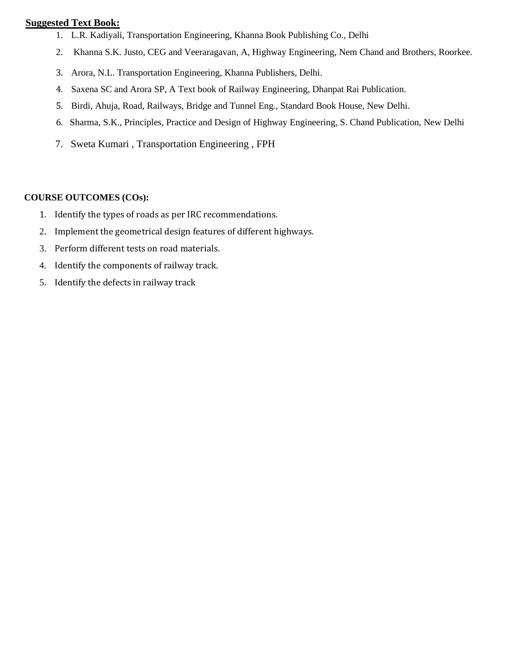## **Suggested Text Book:**

- 1. L.R. Kadiyali, Transportation Engineering, Khanna Book Publishing Co., Delhi
- 2. Khanna S.K. Justo, CEG and Veeraragavan, A, Highway Engineering, Nem Chand and Brothers, Roorkee.
- 3. Arora, N.L. Transportation Engineering, Khanna Publishers, Delhi.
- 4. Saxena SC and Arora SP, A Text book of Railway Engineering, Dhanpat Rai Publication.
- 5. Birdi, Ahuja, Road, Railways, Bridge and Tunnel Eng., Standard Book House, New Delhi.
- 6. Sharma, S.K., Principles, Practice and Design of Highway Engineering, S. Chand Publication, New Delhi
- 7. Sweta Kumari , Transportation Engineering , FPH

- 1. Identify the types of roads as per IRC recommendations.
- 2. Implement the geometrical design features of different highways.
- 3. Perform different tests on road materials.
- 4. Identify the components of railway track.
- 5. Identify the defects in railway track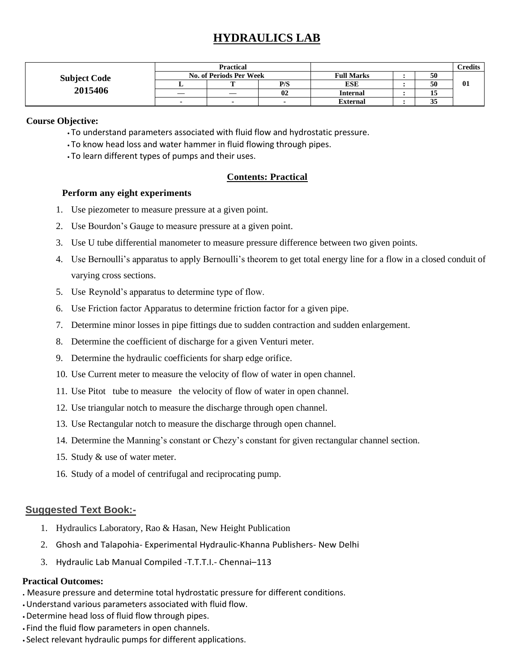# **HYDRAULICS LAB**

|                     | <b>Practical</b>        |  |     |                   | <b>Credits</b>      |     |
|---------------------|-------------------------|--|-----|-------------------|---------------------|-----|
| <b>Subject Code</b> | No. of Periods Per Week |  |     | <b>Full Marks</b> | 50                  |     |
|                     |                         |  | P/S | <b>ESE</b>        | 50                  | -01 |
| 2015406             |                         |  | 02  | <b>Internal</b>   |                     |     |
|                     | -                       |  |     | External          | $\sim$ $\sim$<br>აა |     |

#### **Course Objective:**

- To understand parameters associated with fluid flow and hydrostatic pressure.
- To know head loss and water hammer in fluid flowing through pipes.
- To learn different types of pumps and their uses.

## **Contents: Practical**

#### **Perform any eight experiments**

- 1. Use piezometer to measure pressure at a given point.
- 2. Use Bourdon's Gauge to measure pressure at a given point.
- 3. Use U tube differential manometer to measure pressure difference between two given points.
- 4. Use Bernoulli's apparatus to apply Bernoulli's theorem to get total energy line for a flow in a closed conduit of varying cross sections.
- 5. Use Reynold's apparatus to determine type of flow.
- 6. Use Friction factor Apparatus to determine friction factor for a given pipe.
- 7. Determine minor losses in pipe fittings due to sudden contraction and sudden enlargement.
- 8. Determine the coefficient of discharge for a given Venturi meter.
- 9. Determine the hydraulic coefficients for sharp edge orifice.
- 10. Use Current meter to measure the velocity of flow of water in open channel.
- 11. Use Pitot tube to measure the velocity of flow of water in open channel.
- 12. Use triangular notch to measure the discharge through open channel.
- 13. Use Rectangular notch to measure the discharge through open channel.
- 14. Determine the Manning's constant or Chezy's constant for given rectangular channel section.
- 15. Study & use of water meter.
- 16. Study of a model of centrifugal and reciprocating pump.

## **Suggested Text Book:-**

- 1. Hydraulics Laboratory, Rao & Hasan, New Height Publication
- 2. Ghosh and Talapohia- Experimental Hydraulic-Khanna Publishers- New Delhi
- 3. Hydraulic Lab Manual Compiled -T.T.T.I.- Chennai–113

- **.** Measure pressure and determine total hydrostatic pressure for different conditions.
- •Understand various parameters associated with fluid flow.
- •Determine head loss of fluid flow through pipes.
- Find the fluid flow parameters in open channels.
- Select relevant hydraulic pumps for different applications.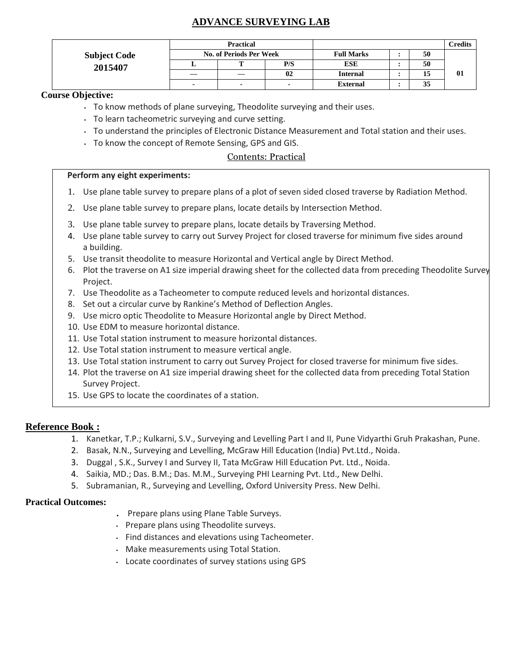# **ADVANCE SURVEYING LAB**

|                     |                                | Practical |     |                   | <b>Credits</b> |    |
|---------------------|--------------------------------|-----------|-----|-------------------|----------------|----|
| <b>Subject Code</b> | <b>No. of Periods Per Week</b> |           |     | <b>Full Marks</b> | 50             |    |
| 2015407             | ≖                              |           | P/S | <b>ESE</b>        | 50             |    |
|                     | —                              |           | 02  | <b>Internal</b>   | 15             | 01 |
|                     | ٠                              |           |     | <b>External</b>   | 35             |    |

## **Course Objective:**

- To know methods of plane surveying, Theodolite surveying and their uses.
- To learn tacheometric surveying and curve setting.
- To understand the principles of Electronic Distance Measurement and Total station and their uses.
- To know the concept of Remote Sensing, GPS and GIS.

### Contents: Practical

#### **Perform any eight experiments:**

- 1. Use plane table survey to prepare plans of a plot of seven sided closed traverse by Radiation Method.
- 2. Use plane table survey to prepare plans, locate details by Intersection Method.
- 3. Use plane table survey to prepare plans, locate details by Traversing Method.
- 4. Use plane table survey to carry out Survey Project for closed traverse for minimum five sides around a building.
- 5. Use transit theodolite to measure Horizontal and Vertical angle by Direct Method.
- 6. Plot the traverse on A1 size imperial drawing sheet for the collected data from preceding Theodolite Survey Project.
- 7. Use Theodolite as a Tacheometer to compute reduced levels and horizontal distances.
- 8. Set out a circular curve by Rankine's Method of Deflection Angles.
- 9. Use micro optic Theodolite to Measure Horizontal angle by Direct Method.
- 10. Use EDM to measure horizontal distance.
- 11. Use Total station instrument to measure horizontal distances.
- 12. Use Total station instrument to measure vertical angle.
- 13. Use Total station instrument to carry out Survey Project for closed traverse for minimum five sides.
- 14. Plot the traverse on A1 size imperial drawing sheet for the collected data from preceding Total Station Survey Project.
- 15. Use GPS to locate the coordinates of a station.

## **Reference Book :**

- 1. Kanetkar, T.P.; Kulkarni, S.V., Surveying and Levelling Part I and II, Pune Vidyarthi Gruh Prakashan, Pune.
- 2. Basak, N.N., Surveying and Levelling, McGraw Hill Education (India) Pvt.Ltd., Noida.
- 3. Duggal , S.K., Survey I and Survey II, Tata McGraw Hill Education Pvt. Ltd., Noida.
- 4. Saikia, MD.; Das. B.M.; Das. M.M., Surveying PHI Learning Pvt. Ltd., New Delhi.
- 5. Subramanian, R., Surveying and Levelling, Oxford University Press. New Delhi.

- **.** Prepare plans using Plane Table Surveys.
- Prepare plans using Theodolite surveys.
- Find distances and elevations using Tacheometer.
- Make measurements using Total Station.
- Locate coordinates of survey stations using GPS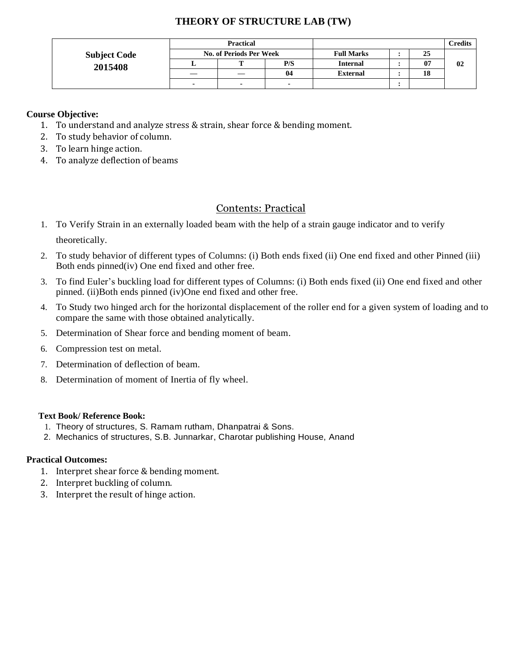## **THEORY OF STRUCTURE LAB (TW)**

|                     |                                | <b>Practical</b> |     |                   | C <b>redits</b> |    |
|---------------------|--------------------------------|------------------|-----|-------------------|-----------------|----|
| <b>Subject Code</b> | <b>No. of Periods Per Week</b> |                  |     | <b>Full Marks</b> | 25              |    |
| 2015408             |                                |                  | P/S | <b>Internal</b>   | 07              | 02 |
|                     |                                |                  | 04  | <b>External</b>   | 18              |    |
|                     |                                |                  |     |                   |                 |    |

### **Course Objective:**

- 1. To understand and analyze stress & strain, shear force & bending moment.
- 2. To study behavior of column.
- 3. To learn hinge action.
- 4. To analyze deflection of beams

## Contents: Practical

- 1. To Verify Strain in an externally loaded beam with the help of a strain gauge indicator and to verify theoretically.
- 2. To study behavior of different types of Columns: (i) Both ends fixed (ii) One end fixed and other Pinned (iii) Both ends pinned(iv) One end fixed and other free.
- 3. To find Euler's buckling load for different types of Columns: (i) Both ends fixed (ii) One end fixed and other pinned. (ii)Both ends pinned (iv)One end fixed and other free.
- 4. To Study two hinged arch for the horizontal displacement of the roller end for a given system of loading and to compare the same with those obtained analytically.
- 5. Determination of Shear force and bending moment of beam.
- 6. Compression test on metal.
- 7. Determination of deflection of beam.
- 8. Determination of moment of Inertia of fly wheel.

#### **Text Book/ Reference Book:**

- 1. Theory of structures, S. Ramam rutham, Dhanpatrai & Sons.
- 2. Mechanics of structures, S.B. Junnarkar, Charotar publishing House, Anand

- 1. Interpret shear force & bending moment.
- 2. Interpret buckling of column.
- 3. Interpret the result of hinge action.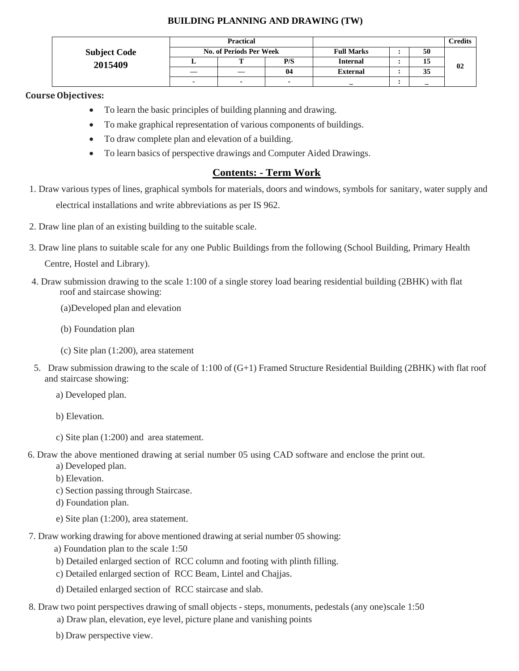### **BUILDING PLANNING AND DRAWING (TW)**

|                     |                                | <b>Practical</b> |     |                   |  |    | Credits |
|---------------------|--------------------------------|------------------|-----|-------------------|--|----|---------|
| <b>Subject Code</b> | <b>No. of Periods Per Week</b> |                  |     | <b>Full Marks</b> |  | 50 |         |
| 2015409             |                                |                  | P/S | <b>Internal</b>   |  | 15 | 02      |
|                     |                                |                  | 04  | <b>External</b>   |  | 35 |         |
|                     | $\overline{\phantom{a}}$       |                  |     |                   |  |    |         |

#### **CourseObjectives:**

- To learn the basic principles of building planning and drawing.
- To make graphical representation of various components of buildings.
- To draw complete plan and elevation of a building.
- To learn basics of perspective drawings and Computer Aided Drawings.

## **Contents: - Term Work**

- 1. Draw various types of lines, graphical symbols for materials, doors and windows, symbols for sanitary, water supply and electrical installations and write abbreviations as per IS 962.
- 2. Draw line plan of an existing building to the suitable scale.
- 3. Draw line plans to suitable scale for any one Public Buildings from the following (School Building, Primary Health

Centre, Hostel and Library).

- 4. Draw submission drawing to the scale 1:100 of a single storey load bearing residential building (2BHK) with flat roof and staircase showing:
	- (a)Developed plan and elevation
	- (b) Foundation plan
	- (c) Site plan (1:200), area statement
- 5. Draw submission drawing to the scale of 1:100 of (G+1) Framed Structure Residential Building (2BHK) with flat roof and staircase showing:
	- a) Developed plan.
	- b) Elevation.
	- c) Site plan (1:200) and area statement.
- 6. Draw the above mentioned drawing at serial number 05 using CAD software and enclose the print out.
	- a) Developed plan.
	- b) Elevation.
	- c) Section passing through Staircase.
	- d) Foundation plan.
	- e) Site plan (1:200), area statement.
- 7. Draw working drawing for above mentioned drawing at serial number 05 showing:
	- a) Foundation plan to the scale 1:50
	- b) Detailed enlarged section of RCC column and footing with plinth filling.
	- c) Detailed enlarged section of RCC Beam, Lintel and Chajjas.
	- d) Detailed enlarged section of RCC staircase and slab.
- 8. Draw two point perspectives drawing of small objects steps, monuments, pedestals (any one)scale 1:50
	- a) Draw plan, elevation, eye level, picture plane and vanishing points
	- b) Draw perspective view.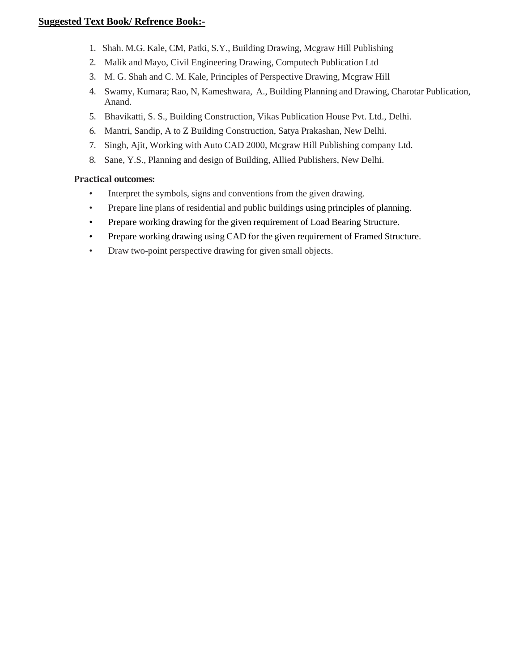### **Suggested Text Book/ Refrence Book:-**

- 1. Shah. M.G. Kale, CM, Patki, S.Y., Building Drawing, Mcgraw Hill Publishing
- 2. Malik and Mayo, Civil Engineering Drawing, Computech Publication Ltd
- 3. M. G. Shah and C. M. Kale, Principles of Perspective Drawing, Mcgraw Hill
- 4. Swamy, Kumara; Rao, N, Kameshwara, A., Building Planning and Drawing, Charotar Publication, Anand.
- 5. Bhavikatti, S. S., Building Construction, Vikas Publication House Pvt. Ltd., Delhi.
- 6. Mantri, Sandip, A to Z Building Construction, Satya Prakashan, New Delhi.
- 7. Singh, Ajit, Working with Auto CAD 2000, Mcgraw Hill Publishing company Ltd.
- 8. Sane, Y.S., Planning and design of Building, Allied Publishers, New Delhi.

- Interpret the symbols, signs and conventions from the given drawing.
- Prepare line plans of residential and public buildings using principles of planning.
- Prepare working drawing for the given requirement of Load Bearing Structure.
- Prepare working drawing using CAD for the given requirement of Framed Structure.
- Draw two-point perspective drawing for given small objects.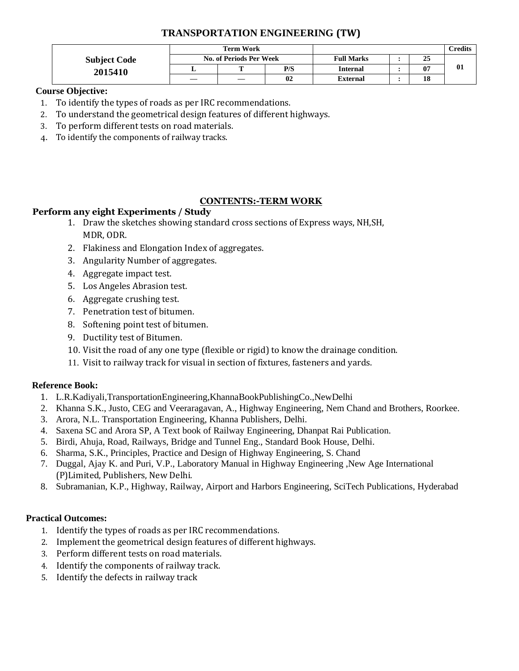# **TRANSPORTATION ENGINEERING (TW)**

|                     | Term Work |                         |     |                   |  |    | Credits |
|---------------------|-----------|-------------------------|-----|-------------------|--|----|---------|
| <b>Subject Code</b> |           | No. of Periods Per Week |     | <b>Full Marks</b> |  | 25 |         |
| 2015410             |           | --                      | P/S | <b>Internal</b>   |  | 07 | 01      |
|                     |           |                         | 02  | <b>External</b>   |  | 18 |         |

## **Course Objective:**

- 1. To identify the types of roads as per IRC recommendations.
- 2. To understand the geometrical design features of different highways.
- 3. To perform different tests on road materials.
- 4. To identify the components of railway tracks.

## **CONTENTS:-TERM WORK**

## **Perform any eight Experiments / Study**

- 1. Draw the sketches showing standard cross sections of Express ways, NH,SH, MDR, ODR.
- 2. Flakiness and Elongation Index of aggregates.
- 3. Angularity Number of aggregates.
- 4. Aggregate impact test.
- 5. Los Angeles Abrasion test.
- 6. Aggregate crushing test.
- 7. Penetration test of bitumen.
- 8. Softening point test of bitumen.
- 9. Ductility test of Bitumen.
- 10. Visit the road of any one type (flexible or rigid) to know the drainage condition.
- 11. Visit to railway track for visual in section of fixtures, fasteners and yards.

## **Reference Book:**

- 1. L.R.Kadiyali,TransportationEngineering,KhannaBookPublishingCo.,NewDelhi
- 2. Khanna S.K., Justo, CEG and Veeraragavan, A., Highway Engineering, Nem Chand and Brothers, Roorkee.
- 3. Arora, N.L. Transportation Engineering, Khanna Publishers, Delhi.
- 4. Saxena SC and Arora SP, A Text book of Railway Engineering, Dhanpat Rai Publication.
- 5. Birdi, Ahuja, Road, Railways, Bridge and Tunnel Eng., Standard Book House, Delhi.
- 6. Sharma, S.K., Principles, Practice and Design of Highway Engineering, S. Chand
- 7. Duggal, Ajay K. and Puri, V.P., Laboratory Manual in Highway Engineering ,New Age International (P)Limited, Publishers, New Delhi.
- 8. Subramanian, K.P., Highway, Railway, Airport and Harbors Engineering, SciTech Publications, Hyderabad

- 1. Identify the types of roads as per IRC recommendations.
- 2. Implement the geometrical design features of different highways.
- 3. Perform different tests on road materials.
- 4. Identify the components of railway track.
- 5. Identify the defects in railway track